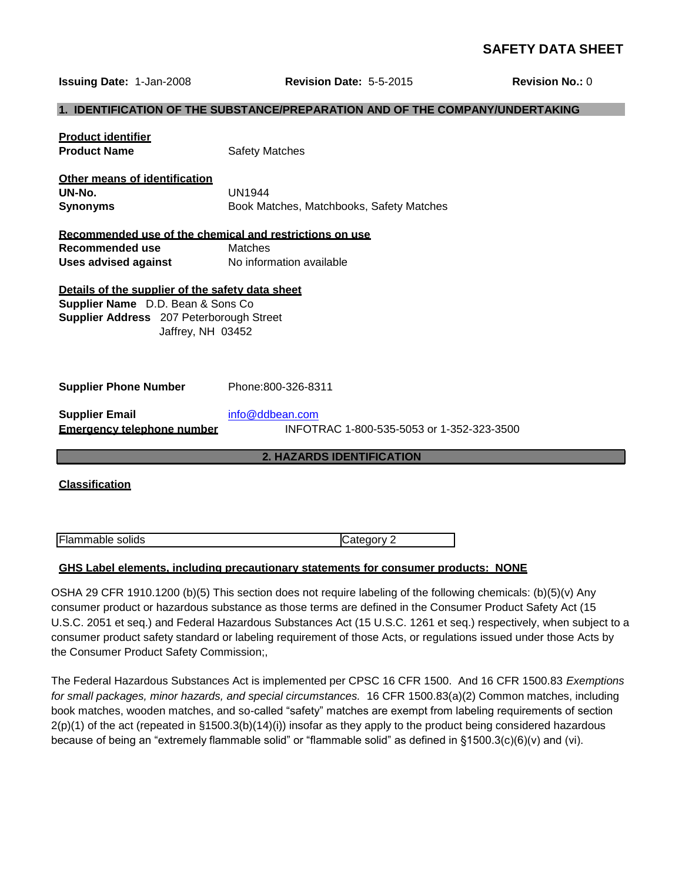# **SAFETY DATA SHEET**

**Issuing Date:** 1-Jan-2008 **Revision Date:** 5-5-2015 **Revision No.:** 0

#### **1. IDENTIFICATION OF THE SUBSTANCE/PREPARATION AND OF THE COMPANY/UNDERTAKING**

| <b>Product identifier</b><br><b>Product Name</b>                                                                                                        | <b>Safety Matches</b>                                                                            |  |
|---------------------------------------------------------------------------------------------------------------------------------------------------------|--------------------------------------------------------------------------------------------------|--|
| Other means of identification<br>UN-No.<br><b>Synonyms</b>                                                                                              | <b>UN1944</b><br>Book Matches, Matchbooks, Safety Matches                                        |  |
| Recommended use of the chemical and restrictions on use<br>Recommended use<br><b>Matches</b><br><b>Uses advised against</b><br>No information available |                                                                                                  |  |
| Details of the supplier of the safety data sheet<br>Supplier Name D.D. Bean & Sons Co<br>Supplier Address 207 Peterborough Street<br>Jaffrey, NH 03452  |                                                                                                  |  |
| <b>Supplier Phone Number</b>                                                                                                                            | Phone:800-326-8311                                                                               |  |
| <b>Supplier Email</b><br><b>Emergency telephone number</b>                                                                                              | info@ddbean.com<br>INFOTRAC 1-800-535-5053 or 1-352-323-3500                                     |  |
| <b>2. HAZARDS IDENTIFICATION</b>                                                                                                                        |                                                                                                  |  |
| <b>Classification</b>                                                                                                                                   |                                                                                                  |  |
| Flammable solids                                                                                                                                        | Category 2<br>GHS Label elements. including precautionary statements for consumer products: NONE |  |

OSHA 29 CFR 1910.1200 (b)(5) This section does not require labeling of the following chemicals: (b)(5)(v) Any consumer product or hazardous substance as those terms are defined in the Consumer Product Safety Act (15 U.S.C. 2051 et seq.) and Federal Hazardous Substances Act (15 U.S.C. 1261 et seq.) respectively, when subject to a consumer product safety standard or labeling requirement of those Acts, or regulations issued under those Acts by the Consumer Product Safety Commission;,

The Federal Hazardous Substances Act is implemented per CPSC 16 CFR 1500. And 16 CFR 1500.83 *Exemptions for small packages, minor hazards, and special circumstances.* 16 CFR 1500.83(a)(2) Common matches, including book matches, wooden matches, and so-called "safety" matches are exempt from labeling requirements of section 2(p)(1) of the act (repeated in §1500.3(b)(14)(i)) insofar as they apply to the product being considered hazardous because of being an "extremely flammable solid" or "flammable solid" as defined in §1500.3(c)(6)(v) and (vi).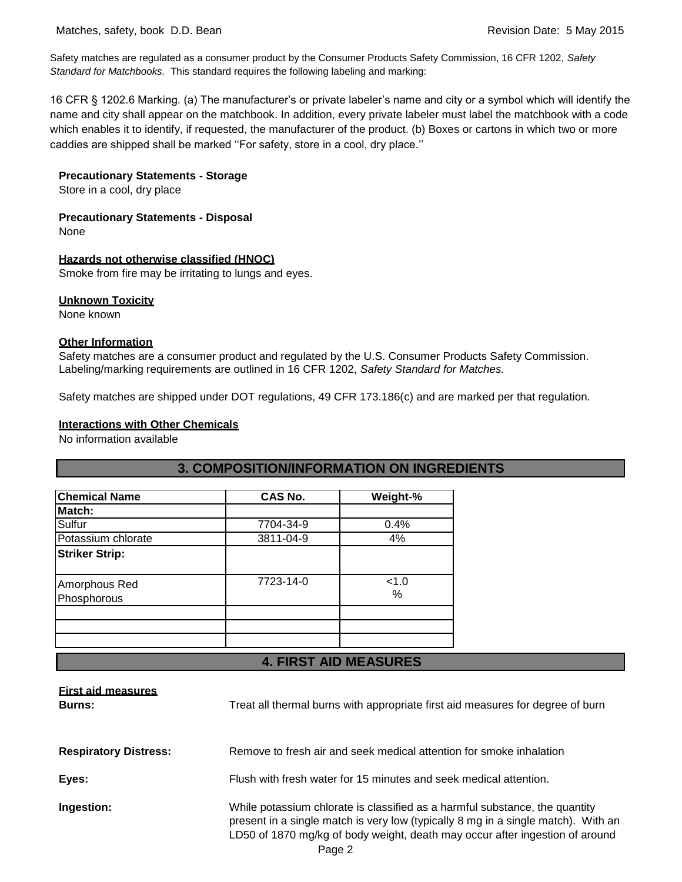Safety matches are regulated as a consumer product by the Consumer Products Safety Commission, 16 CFR 1202, *Safety Standard for Matchbooks.* This standard requires the following labeling and marking:

16 CFR § 1202.6 Marking. (a) The manufacturer's or private labeler's name and city or a symbol which will identify the name and city shall appear on the matchbook. In addition, every private labeler must label the matchbook with a code which enables it to identify, if requested, the manufacturer of the product. (b) Boxes or cartons in which two or more caddies are shipped shall be marked ''For safety, store in a cool, dry place.''

#### **Precautionary Statements - Storage**

Store in a cool, dry place

### **Precautionary Statements - Disposal**

None

#### **Hazards not otherwise classified (HNOC)**

Smoke from fire may be irritating to lungs and eyes.

#### **Unknown Toxicity**

None known

### **Other Information**

Safety matches are a consumer product and regulated by the U.S. Consumer Products Safety Commission. Labeling/marking requirements are outlined in 16 CFR 1202, *Safety Standard for Matches.*

Safety matches are shipped under DOT regulations, 49 CFR 173.186(c) and are marked per that regulation.

### **Interactions with Other Chemicals**

No information available

| <b>Chemical Name</b>         | <b>CAS No.</b> | Weight-%      |
|------------------------------|----------------|---------------|
| Match:                       |                |               |
| Sulfur                       | 7704-34-9      | 0.4%          |
| Potassium chlorate           | 3811-04-9      | 4%            |
| <b>Striker Strip:</b>        |                |               |
| Amorphous Red<br>Phosphorous | 7723-14-0      | < 1.0<br>$\%$ |
|                              |                |               |
|                              |                |               |
|                              |                |               |

# **3. COMPOSITION/INFORMATION ON INGREDIENTS**

#### **4. FIRST AID MEASURES**

| <b>First aid measures</b><br><b>Burns:</b> | Treat all thermal burns with appropriate first aid measures for degree of burn                                                                                                                                                                             |
|--------------------------------------------|------------------------------------------------------------------------------------------------------------------------------------------------------------------------------------------------------------------------------------------------------------|
| <b>Respiratory Distress:</b>               | Remove to fresh air and seek medical attention for smoke inhalation                                                                                                                                                                                        |
| Eyes:                                      | Flush with fresh water for 15 minutes and seek medical attention.                                                                                                                                                                                          |
| Ingestion:                                 | While potassium chlorate is classified as a harmful substance, the quantity<br>present in a single match is very low (typically 8 mg in a single match). With an<br>LD50 of 1870 mg/kg of body weight, death may occur after ingestion of around<br>Page 2 |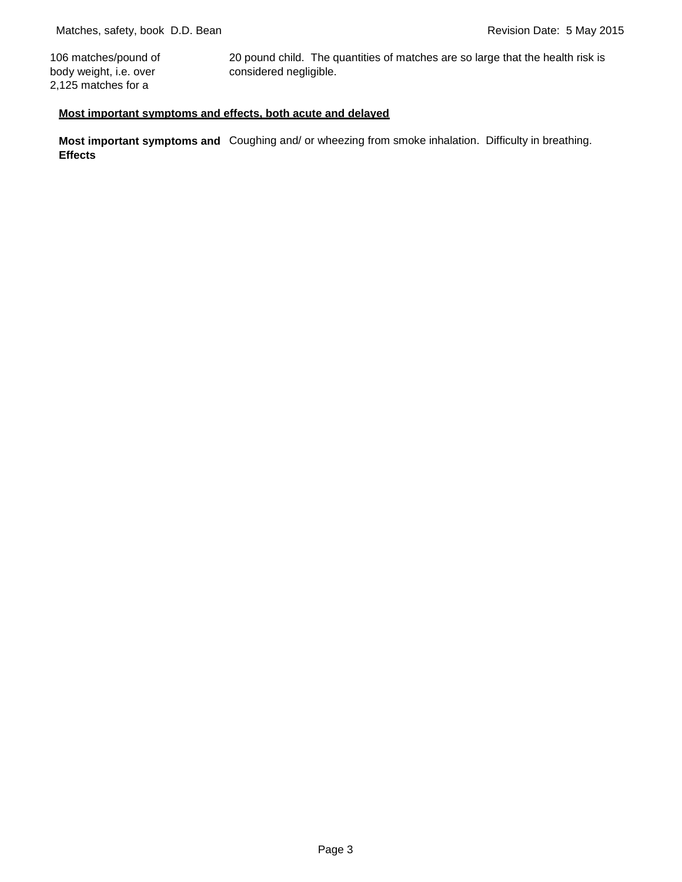106 matches/pound of body weight, i.e. over 2,125 matches for a

20 pound child. The quantities of matches are so large that the health risk is considered negligible.

## **Most important symptoms and effects, both acute and delayed**

**Most important symptoms and** Coughing and/ or wheezing from smoke inhalation. Difficulty in breathing. **Effects**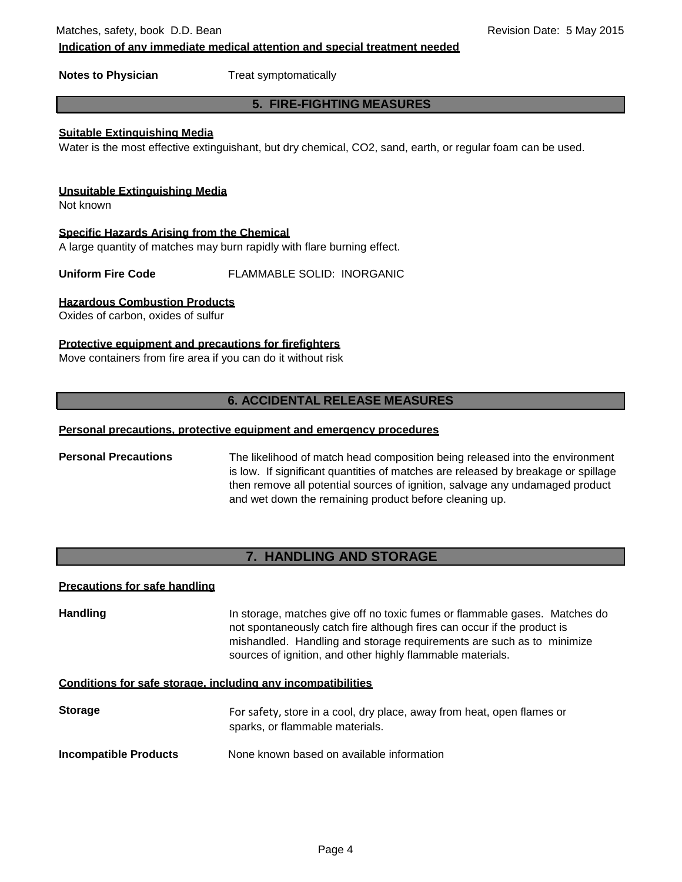Matches, safety, book D.D. Bean Revision Date: 5 May 2015

**Indication of any immediate medical attention and special treatment needed**

**Notes to Physician** Treat symptomatically

## **5. FIRE-FIGHTING MEASURES**

## **Suitable Extinguishing Media**

Water is the most effective extinguishant, but dry chemical, CO2, sand, earth, or regular foam can be used.

#### **Unsuitable Extinguishing Media**

Not known

**Specific Hazards Arising from the Chemical**

A large quantity of matches may burn rapidly with flare burning effect.

**Uniform Fire Code** FLAMMABLE SOLID: INORGANIC

### **Hazardous Combustion Products**

Oxides of carbon, oxides of sulfur

### **Protective equipment and precautions for firefighters**

Move containers from fire area if you can do it without risk

# **6. ACCIDENTAL RELEASE MEASURES**

### **Personal precautions, protective equipment and emergency procedures**

**Personal Precautions** The likelihood of match head composition being released into the environment is low. If significant quantities of matches are released by breakage or spillage then remove all potential sources of ignition, salvage any undamaged product and wet down the remaining product before cleaning up.

# **7. HANDLING AND STORAGE**

#### **Precautions for safe handling**

**Handling** In storage, matches give off no toxic fumes or flammable gases. Matches do not spontaneously catch fire although fires can occur if the product is mishandled. Handling and storage requirements are such as to minimize sources of ignition, and other highly flammable materials.

#### **Conditions for safe storage, including any incompatibilities**

**Storage** For safety, store in a cool, dry place, away from heat, open flames or sparks, or flammable materials.

**Incompatible Products** None known based on available information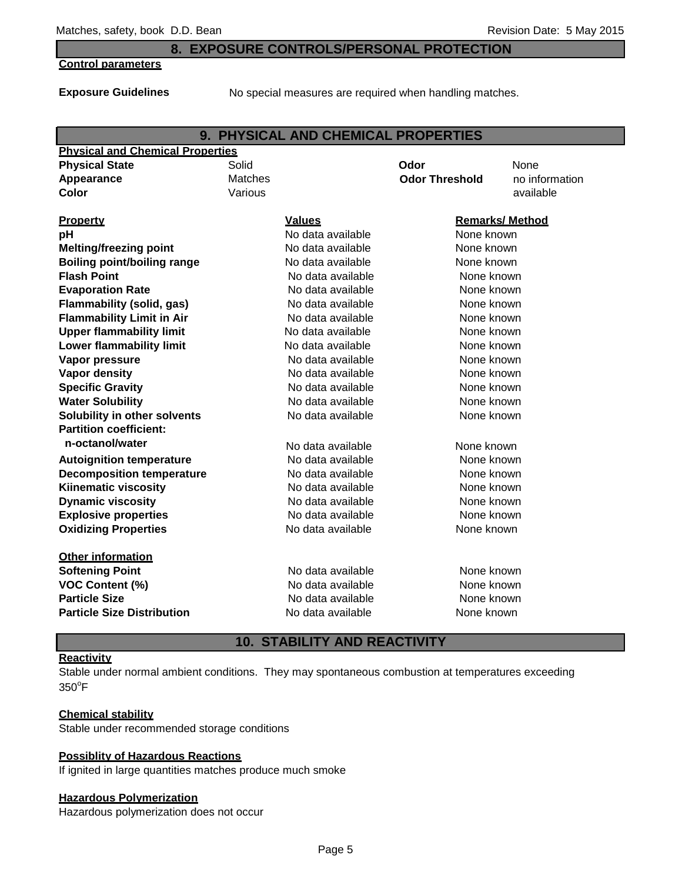## **8. EXPOSURE CONTROLS/PERSONAL PROTECTION**

#### **Control parameters**

**Exposure Guidelines**

No special measures are required when handling matches.

|                                         |                   | 9. PHYSICAL AND CHEMICAL PROPERTIES |                        |                |
|-----------------------------------------|-------------------|-------------------------------------|------------------------|----------------|
| <b>Physical and Chemical Properties</b> |                   |                                     |                        |                |
| <b>Physical State</b>                   | Solid             |                                     | Odor                   | None           |
| Appearance                              | Matches           |                                     | <b>Odor Threshold</b>  | no information |
| Color                                   | Various           |                                     |                        | available      |
|                                         |                   |                                     |                        |                |
| <b>Property</b>                         |                   | <b>Values</b>                       | <b>Remarks/ Method</b> |                |
| pH                                      |                   | No data available                   | None known             |                |
| <b>Melting/freezing point</b>           |                   | No data available                   | None known             |                |
| <b>Boiling point/boiling range</b>      |                   | No data available                   | None known             |                |
| <b>Flash Point</b>                      |                   | No data available                   | None known             |                |
| <b>Evaporation Rate</b>                 |                   | No data available                   | None known             |                |
| <b>Flammability (solid, gas)</b>        |                   | No data available                   | None known             |                |
| <b>Flammability Limit in Air</b>        |                   | No data available                   | None known             |                |
| <b>Upper flammability limit</b>         |                   | No data available                   | None known             |                |
| <b>Lower flammability limit</b>         |                   | No data available                   | None known             |                |
| Vapor pressure                          |                   | No data available                   | None known             |                |
| <b>Vapor density</b>                    |                   | No data available                   | None known             |                |
| <b>Specific Gravity</b>                 |                   | No data available                   | None known             |                |
| <b>Water Solubility</b>                 | No data available |                                     | None known             |                |
| Solubility in other solvents            |                   | No data available                   | None known             |                |
| <b>Partition coefficient:</b>           |                   |                                     |                        |                |
| n-octanol/water                         |                   | No data available                   | None known             |                |
| <b>Autoignition temperature</b>         |                   | No data available                   | None known             |                |
| <b>Decomposition temperature</b>        |                   | No data available                   | None known             |                |
| <b>Kiinematic viscosity</b>             |                   | No data available                   | None known             |                |
| <b>Dynamic viscosity</b>                |                   | No data available                   | None known             |                |
| <b>Explosive properties</b>             | No data available |                                     | None known             |                |
| <b>Oxidizing Properties</b>             | No data available |                                     | None known             |                |
|                                         |                   |                                     |                        |                |
| <b>Other information</b>                |                   |                                     |                        |                |
| <b>Softening Point</b>                  |                   | No data available                   | None known             |                |
| VOC Content (%)                         |                   | No data available                   | None known             |                |
| <b>Particle Size</b>                    |                   | No data available                   | None known             |                |
| <b>Particle Size Distribution</b>       |                   | No data available                   | None known             |                |
|                                         |                   |                                     |                        |                |

# **10. STABILITY AND REACTIVITY**

#### **Reactivity**

Stable under normal ambient conditions. They may spontaneous combustion at temperatures exceeding  $350^{\circ}$ F

#### **Chemical stability**

Stable under recommended storage conditions

### **Possiblity of Hazardous Reactions**

If ignited in large quantities matches produce much smoke

#### **Hazardous Polymerization**

Hazardous polymerization does not occur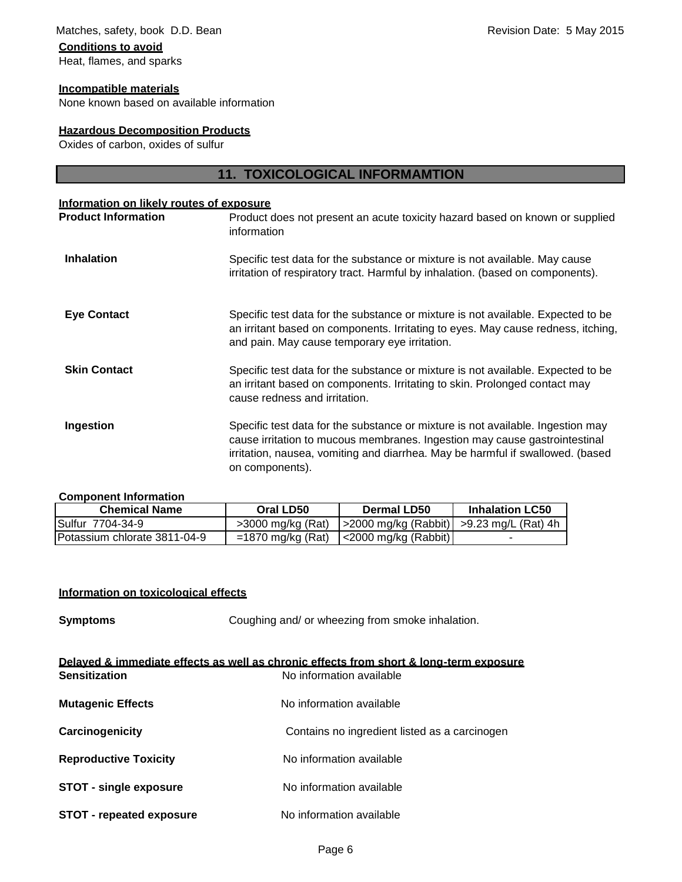# Matches, safety, book D.D. Bean Revision Date: 5 May 2015 **Conditions to avoid** Heat, flames, and sparks

#### **Incompatible materials**

None known based on available information

### **Hazardous Decomposition Products**

Oxides of carbon, oxides of sulfur

# **11. TOXICOLOGICAL INFORMAMTION**

#### **Information on likely routes of exposure**

| <b>Product Information</b> | Product does not present an acute toxicity hazard based on known or supplied<br>information                                                                                                                                                                        |
|----------------------------|--------------------------------------------------------------------------------------------------------------------------------------------------------------------------------------------------------------------------------------------------------------------|
| <b>Inhalation</b>          | Specific test data for the substance or mixture is not available. May cause<br>irritation of respiratory tract. Harmful by inhalation. (based on components).                                                                                                      |
| <b>Eye Contact</b>         | Specific test data for the substance or mixture is not available. Expected to be<br>an irritant based on components. Irritating to eyes. May cause redness, itching,<br>and pain. May cause temporary eye irritation.                                              |
| <b>Skin Contact</b>        | Specific test data for the substance or mixture is not available. Expected to be<br>an irritant based on components. Irritating to skin. Prolonged contact may<br>cause redness and irritation.                                                                    |
| Ingestion                  | Specific test data for the substance or mixture is not available. Ingestion may<br>cause irritation to mucous membranes. Ingestion may cause gastrointestinal<br>irritation, nausea, vomiting and diarrhea. May be harmful if swallowed. (based<br>on components). |

#### **Component Information**

| <b>Chemical Name</b>         | Oral LD50           | Dermal LD50                                    | <b>Inhalation LC50</b> |
|------------------------------|---------------------|------------------------------------------------|------------------------|
| ISulfur 7704-34-9            | >3000 mg/kg (Rat)   | $ $ >2000 mg/kg (Rabbit)   >9.23 mg/L (Rat) 4h |                        |
| Potassium chlorate 3811-04-9 | $=1870$ mg/kg (Rat) | $\vert$ <2000 mg/kg (Rabbit)                   |                        |

#### **Information on toxicological effects**

**Symptoms** Coughing and/ or wheezing from smoke inhalation.

| Delaved & immediate effects as well as chronic effects from short & long-term exposure |                                               |  |
|----------------------------------------------------------------------------------------|-----------------------------------------------|--|
| <b>Sensitization</b>                                                                   | No information available                      |  |
| <b>Mutagenic Effects</b>                                                               | No information available                      |  |
| Carcinogenicity                                                                        | Contains no ingredient listed as a carcinogen |  |
| <b>Reproductive Toxicity</b>                                                           | No information available                      |  |
| <b>STOT - single exposure</b>                                                          | No information available                      |  |
| <b>STOT - repeated exposure</b>                                                        | No information available                      |  |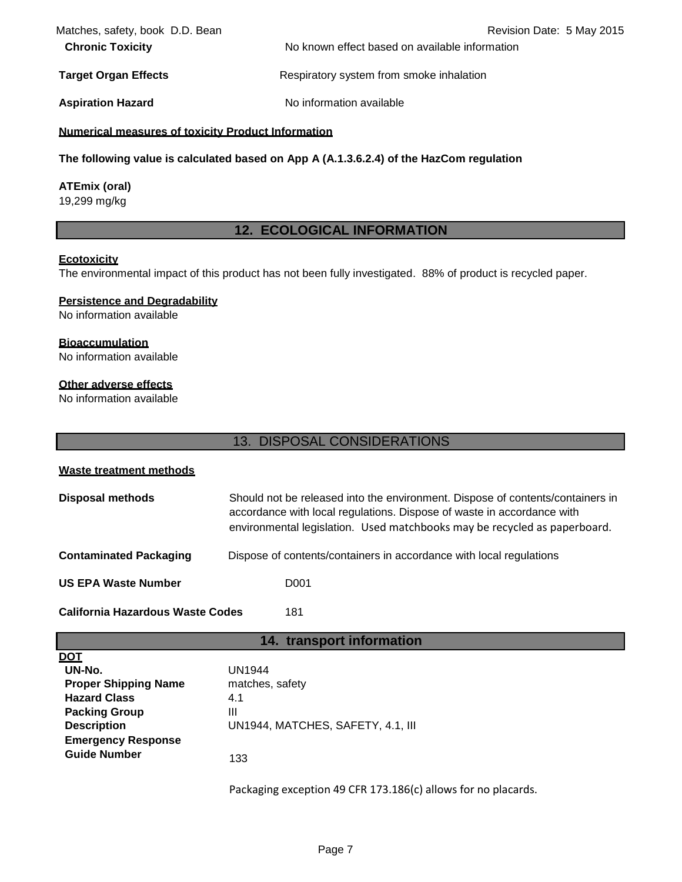| Matches, safety, book D.D. Bean | Revision Date: 5 May 2015                      |
|---------------------------------|------------------------------------------------|
| <b>Chronic Toxicity</b>         | No known effect based on available information |
| <b>Target Organ Effects</b>     | Respiratory system from smoke inhalation       |
| <b>Aspiration Hazard</b>        | No information available                       |

## **Numerical measures of toxicity Product Information**

**The following value is calculated based on App A (A.1.3.6.2.4) of the HazCom regulation**

### **ATEmix (oral)**

19,299 mg/kg

# **12. ECOLOGICAL INFORMATION**

#### **Ecotoxicity**

The environmental impact of this product has not been fully investigated. 88% of product is recycled paper.

### **Persistence and Degradability**

No information available

### **Bioaccumulation**

No information available

## **Other adverse effects**

No information available

|                                                                                                                                                                              | 13. DISPOSAL CONSIDERATIONS                                                                                                                                                                                                           |  |
|------------------------------------------------------------------------------------------------------------------------------------------------------------------------------|---------------------------------------------------------------------------------------------------------------------------------------------------------------------------------------------------------------------------------------|--|
| <b>Waste treatment methods</b>                                                                                                                                               |                                                                                                                                                                                                                                       |  |
| <b>Disposal methods</b>                                                                                                                                                      | Should not be released into the environment. Dispose of contents/containers in<br>accordance with local regulations. Dispose of waste in accordance with<br>environmental legislation. Used matchbooks may be recycled as paperboard. |  |
| <b>Contaminated Packaging</b>                                                                                                                                                | Dispose of contents/containers in accordance with local regulations                                                                                                                                                                   |  |
| <b>US EPA Waste Number</b><br>D <sub>001</sub>                                                                                                                               |                                                                                                                                                                                                                                       |  |
| <b>California Hazardous Waste Codes</b><br>181                                                                                                                               |                                                                                                                                                                                                                                       |  |
|                                                                                                                                                                              | 14. transport information                                                                                                                                                                                                             |  |
| <u>DOT</u><br>UN-No.<br><b>Proper Shipping Name</b><br><b>Hazard Class</b><br><b>Packing Group</b><br><b>Description</b><br><b>Emergency Response</b><br><b>Guide Number</b> | <b>UN1944</b><br>matches, safety<br>4.1<br>Ш<br>UN1944, MATCHES, SAFETY, 4.1, III<br>133<br>Packaging exception 49 CFR 173.186(c) allows for no placards.                                                                             |  |
|                                                                                                                                                                              |                                                                                                                                                                                                                                       |  |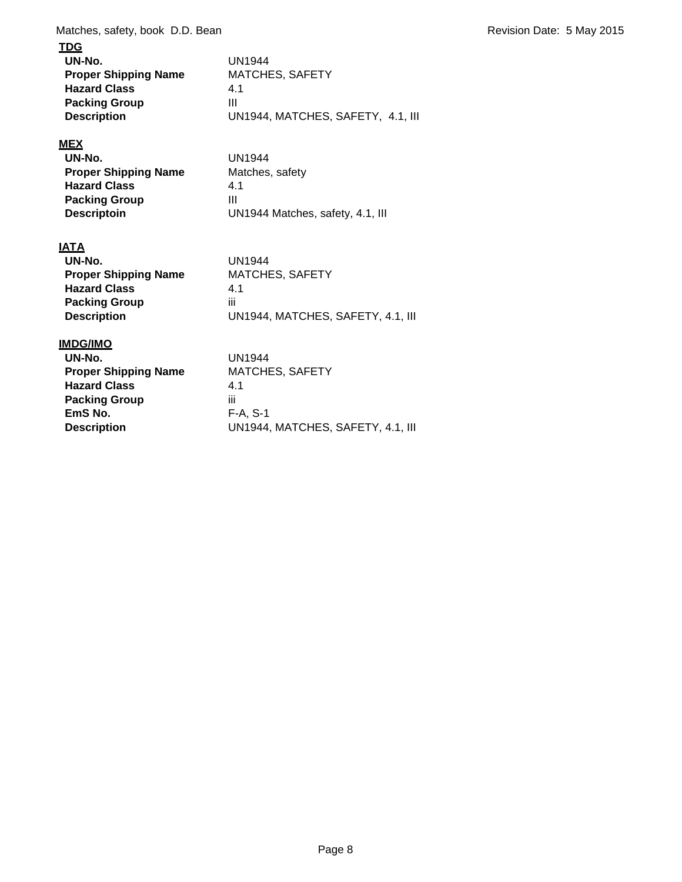Matches, safety, book D.D. Bean Revision Date: 5 May 2015

# **TDG**

| UN-No.                      | UN1944                            |
|-----------------------------|-----------------------------------|
| <b>Proper Shipping Name</b> | <b>MATCHES, SAFETY</b>            |
| <b>Hazard Class</b>         | 4.1                               |
| <b>Packing Group</b>        | Ш                                 |
| <b>Description</b>          | UN1944, MATCHES, SAFETY, 4.1, III |

# **MEX**

| UN-No.                      | <b>UN1944</b>                    |
|-----------------------------|----------------------------------|
| <b>Proper Shipping Name</b> | Matches, safety                  |
| <b>Hazard Class</b>         | 4.1                              |
| <b>Packing Group</b>        | Ш                                |
| <b>Descriptoin</b>          | UN1944 Matches, safety, 4.1, III |

# **IATA**

| UN-No.                      | UN1944                            |
|-----------------------------|-----------------------------------|
| <b>Proper Shipping Name</b> | <b>MATCHES, SAFETY</b>            |
| <b>Hazard Class</b>         | 41                                |
| <b>Packing Group</b>        | ÎΪİ                               |
| <b>Description</b>          | UN1944, MATCHES, SAFETY, 4.1, III |

# **IMDG/IMO**

| UN-No.                      | UN1944                            |
|-----------------------------|-----------------------------------|
| <b>Proper Shipping Name</b> | <b>MATCHES, SAFETY</b>            |
| <b>Hazard Class</b>         | 4.1                               |
| <b>Packing Group</b>        | Ш                                 |
| EmS No.                     | $F-A. S-1$                        |
| <b>Description</b>          | UN1944, MATCHES, SAFETY, 4.1, III |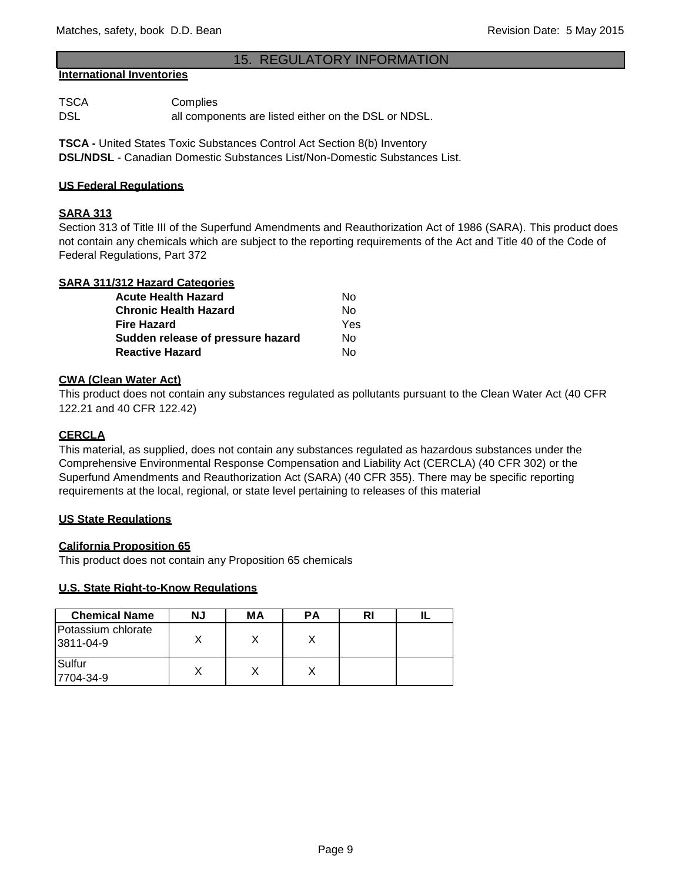# 15. REGULATORY INFORMATION

#### **International Inventories**

TSCA Complies DSL all components are listed either on the DSL or NDSL.

**TSCA -** United States Toxic Substances Control Act Section 8(b) Inventory **DSL/NDSL** - Canadian Domestic Substances List/Non-Domestic Substances List.

#### **US Federal Regulations**

#### **SARA 313**

Section 313 of Title III of the Superfund Amendments and Reauthorization Act of 1986 (SARA). This product does not contain any chemicals which are subject to the reporting requirements of the Act and Title 40 of the Code of Federal Regulations, Part 372

| <b>SARA 311/312 Hazard Categories</b> |     |
|---------------------------------------|-----|
| <b>Acute Health Hazard</b>            | No  |
| <b>Chronic Health Hazard</b>          | Nο  |
| <b>Fire Hazard</b>                    | Yes |
| Sudden release of pressure hazard     | No  |
| <b>Reactive Hazard</b>                | N٥  |

## **CWA (Clean Water Act)**

This product does not contain any substances regulated as pollutants pursuant to the Clean Water Act (40 CFR 122.21 and 40 CFR 122.42)

### **CERCLA**

This material, as supplied, does not contain any substances regulated as hazardous substances under the Comprehensive Environmental Response Compensation and Liability Act (CERCLA) (40 CFR 302) or the Superfund Amendments and Reauthorization Act (SARA) (40 CFR 355). There may be specific reporting requirements at the local, regional, or state level pertaining to releases of this material

#### **US State Regulations**

#### **California Proposition 65**

This product does not contain any Proposition 65 chemicals

#### **U.S. State Right-to-Know Regulations**

| <b>Chemical Name</b>            | ΝJ | МA | РA |  |
|---------------------------------|----|----|----|--|
| Potassium chlorate<br>3811-04-9 |    |    |    |  |
| Sulfur<br>7704-34-9             |    |    |    |  |